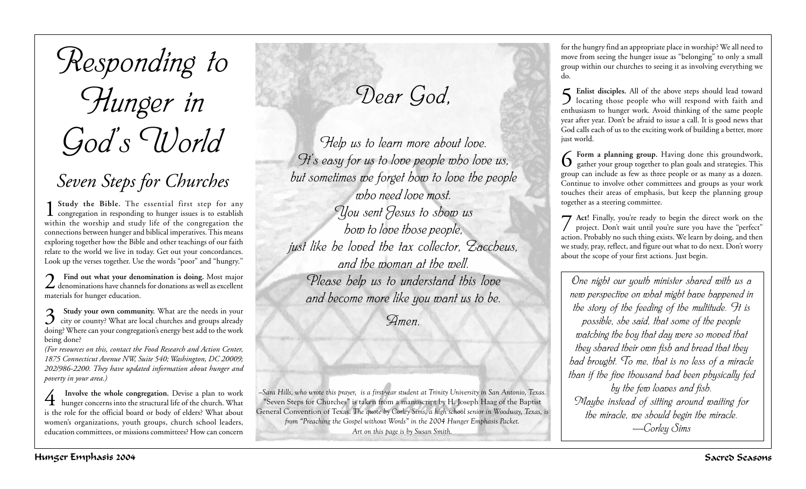# *Responding to Hunger in God's World*

## *Seven Steps for Churches*

1 **Study the Bible.** The essential first step for any congregation in responding to hunger issues is to establish within the worship and study life of the congregation the connections between hunger and biblical imperatives. This means exploring together how the Bible and other teachings of our faith relate to the world we live in today. Get out your concordances. Look up the verses together. Use the words "poor" and "hungry."

2 **Find out what your denomination is doing.** Most major denominations have channels for donations as well as excellent materials for hunger education.

**3** Study your own community. What are the needs in your city or county? What are local churches and groups already doing? Where can your congregation's energy best add to the work being done?

*(For resources on this, contact the Food Research and Action Center, 1875 Connecticut Avenue NW, Suite 540; Washington, DC 20009; 202/986-2200. They have updated information about hunger and poverty in your area.)*

**4** Involve the whole congregation. Devise a plan to work<br>hunger concerns into the structural life of the church. What is the role for the official board or body of elders? What about women's organizations, youth groups, church school leaders, education committees, or missions committees? How can concern

*Dear God,*

*Help us to learn more about love. It's easy for us to love people who love us, but sometimes we forget how to love the people who need love most. You sent Jesus to show us how to love those people, just like he loved the tax collector, Zaccheus, and the woman at the well. Please help us to understand this love and become more like you want us to be.*

*Amen.*

*—Sara Hills, who wrote this prayer, is a first-year student at Trinity University in San Antonio, Texas.* "Seven Steps for Churches" is taken from a manuscript by H. Joseph Haag of the Baptist General Convention of Texas. *The quote by Corley Sims, a high school senior in Woodway, Texas, is from "Preaching the Gospel without Words" in the 2004 Hunger Emphasis Packet. Art on this page is by Susan Smith.*

for the hungry find an appropriate place in worship? We all need to move from seeing the hunger issue as "belonging" to only a small group within our churches to seeing it as involving everything we do.

5 Enlist disciples. All of the above steps should lead toward<br>locating those people who will respond with faith and enthusiasm to hunger work. Avoid thinking of the same people year after year. Don't be afraid to issue a call. It is good news that God calls each of us to the exciting work of building a better, more just world.

6 **Form a planning group.** Having done this groundwork, gather your group together to plan goals and strategies. This group can include as few as three people or as many as a dozen. Continue to involve other committees and groups as your work touches their areas of emphasis, but keep the planning group together as a steering committee.

**7** Act! Finally, you're ready to begin the direct work on the project. Don't wait until you're sure you have the "perfect" action. Probably no such thing exists. We learn by doing, and then we study, pray, reflect, and figure out what to do next. Don't worry about the scope of your first actions. Just begin.

*One night our youth minister shared with us a new perspective on what might have happened in the story of the feeding of the multitude. It is possible, she said, that some of the people watching the boy that day were so moved that they shared their own fish and bread that they had brought. To me, that is no less of a miracle than if the five thousand had been physically fed by the few loaves and fish. Maybe instead of sitting around waiting for the miracle, we should begin the miracle. —Corley Sims*